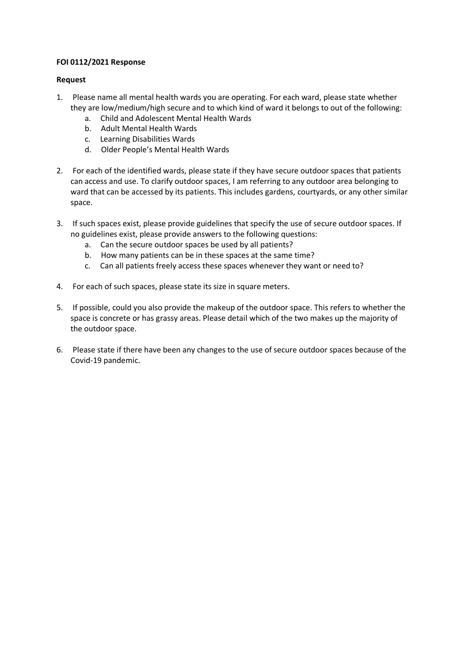## **FOI 0112/2021 Response**

## **Request**

- 1. Please name all mental health wards you are operating. For each ward, please state whether they are low/medium/high secure and to which kind of ward it belongs to out of the following:
	- a. Child and Adolescent Mental Health Wards
	- b. Adult Mental Health Wards
	- c. Learning Disabilities Wards
	- d. Older People's Mental Health Wards
- 2. For each of the identified wards, please state if they have secure outdoor spaces that patients can access and use. To clarify outdoor spaces, I am referring to any outdoor area belonging to ward that can be accessed by its patients. This includes gardens, courtyards, or any other similar space.
- 3. If such spaces exist, please provide guidelines that specify the use of secure outdoor spaces. If no guidelines exist, please provide answers to the following questions:
	- a. Can the secure outdoor spaces be used by all patients?
	- b. How many patients can be in these spaces at the same time?
	- c. Can all patients freely access these spaces whenever they want or need to?
- 4. For each of such spaces, please state its size in square meters.
- 5. If possible, could you also provide the makeup of the outdoor space. This refers to whether the space is concrete or has grassy areas. Please detail which of the two makes up the majority of the outdoor space.
- 6. Please state if there have been any changes to the use of secure outdoor spaces because of the Covid-19 pandemic.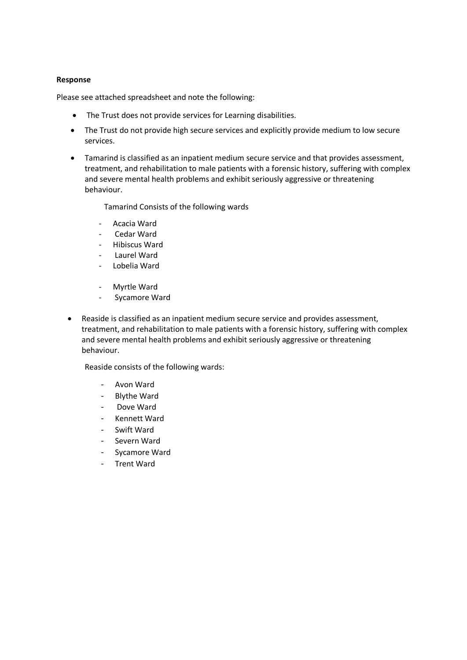## **Response**

Please see attached spreadsheet and note the following:

- The Trust does not provide services for Learning disabilities.
- The Trust do not provide high secure services and explicitly provide medium to low secure services.
- Tamarind is classified as an inpatient medium secure service and that provides assessment, treatment, and rehabilitation to male patients with a forensic history, suffering with complex and severe mental health problems and exhibit seriously aggressive or threatening behaviour.

Tamarind Consists of the following wards

- Acacia Ward
- Cedar Ward
- Hibiscus Ward
- Laurel Ward
- Lobelia Ward
- Myrtle Ward
- Sycamore Ward
- Reaside is classified as an inpatient medium secure service and provides assessment, treatment, and rehabilitation to male patients with a forensic history, suffering with complex and severe mental health problems and exhibit seriously aggressive or threatening behaviour.

Reaside consists of the following wards:

- Avon Ward
- Blythe Ward
- Dove Ward
- Kennett Ward
- Swift Ward
- Severn Ward
- Sycamore Ward
- Trent Ward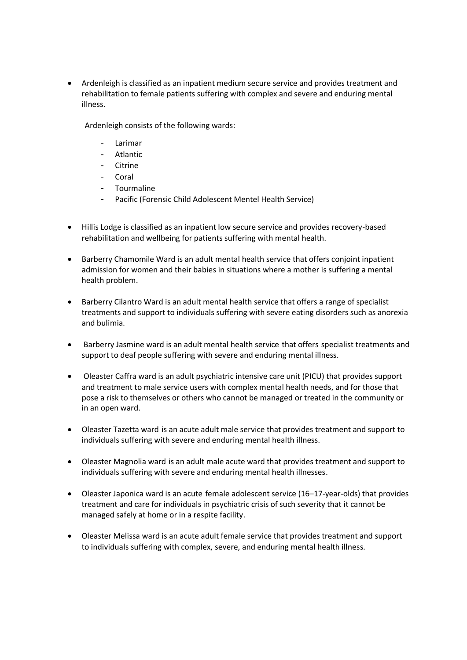• Ardenleigh is classified as an inpatient medium secure service and provides treatment and rehabilitation to female patients suffering with complex and severe and enduring mental illness.

Ardenleigh consists of the following wards:

- Larimar
- **Atlantic**
- Citrine
- Coral
- Tourmaline
- Pacific (Forensic Child Adolescent Mentel Health Service)
- Hillis Lodge is classified as an inpatient low secure service and provides recovery-based rehabilitation and wellbeing for patients suffering with mental health.
- Barberry Chamomile Ward is an adult mental health service that offers conjoint inpatient admission for women and their babies in situations where a mother is suffering a mental health problem.
- Barberry Cilantro Ward is an adult mental health service that offers a range of specialist treatments and support to individuals suffering with severe eating disorders such as anorexia and bulimia.
- Barberry Jasmine ward is an adult mental health service that offers specialist treatments and support to deaf people suffering with severe and enduring mental illness.
- Oleaster Caffra ward is an adult psychiatric intensive care unit (PICU) that provides support and treatment to male service users with complex mental health needs, and for those that pose a risk to themselves or others who cannot be managed or treated in the community or in an open ward.
- Oleaster Tazetta ward is an acute adult male service that provides treatment and support to individuals suffering with severe and enduring mental health illness.
- Oleaster Magnolia ward is an adult male acute ward that provides treatment and support to individuals suffering with severe and enduring mental health illnesses.
- Oleaster Japonica ward is an acute female adolescent service (16–17-year-olds) that provides treatment and care for individuals in psychiatric crisis of such severity that it cannot be managed safely at home or in a respite facility.
- Oleaster Melissa ward is an acute adult female service that provides treatment and support to individuals suffering with complex, severe, and enduring mental health illness.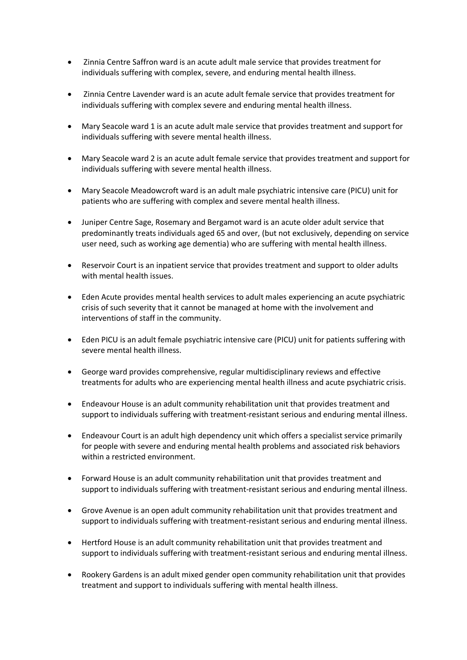- Zinnia Centre Saffron ward is an acute adult male service that provides treatment for individuals suffering with complex, severe, and enduring mental health illness.
- Zinnia Centre Lavender ward is an acute adult female service that provides treatment for individuals suffering with complex severe and enduring mental health illness.
- Mary Seacole ward 1 is an acute adult male service that provides treatment and support for individuals suffering with severe mental health illness.
- Mary Seacole ward 2 is an acute adult female service that provides treatment and support for individuals suffering with severe mental health illness.
- Mary Seacole Meadowcroft ward is an adult male psychiatric intensive care (PICU) unit for patients who are suffering with complex and severe mental health illness.
- Juniper Centre Sage, Rosemary and Bergamot ward is an acute older adult service that predominantly treats individuals aged 65 and over, (but not exclusively, depending on service user need, such as working age dementia) who are suffering with mental health illness.
- Reservoir Court is an inpatient service that provides treatment and support to older adults with mental health issues.
- Eden Acute provides mental health services to adult males experiencing an acute psychiatric crisis of such severity that it cannot be managed at home with the involvement and interventions of staff in the community.
- Eden PICU is an adult female psychiatric intensive care (PICU) unit for patients suffering with severe mental health illness.
- George ward provides comprehensive, regular multidisciplinary reviews and effective treatments for adults who are experiencing mental health illness and acute psychiatric crisis.
- Endeavour House is an adult community rehabilitation unit that provides treatment and support to individuals suffering with treatment-resistant serious and enduring mental illness.
- Endeavour Court is an adult high dependency unit which offers a specialist service primarily for people with severe and enduring mental health problems and associated risk behaviors within a restricted environment.
- Forward House is an adult community rehabilitation unit that provides treatment and support to individuals suffering with treatment-resistant serious and enduring mental illness.
- Grove Avenue is an open adult community rehabilitation unit that provides treatment and support to individuals suffering with treatment-resistant serious and enduring mental illness.
- Hertford House is an adult community rehabilitation unit that provides treatment and support to individuals suffering with treatment-resistant serious and enduring mental illness.
- Rookery Gardens is an adult mixed gender open community rehabilitation unit that provides treatment and support to individuals suffering with mental health illness.